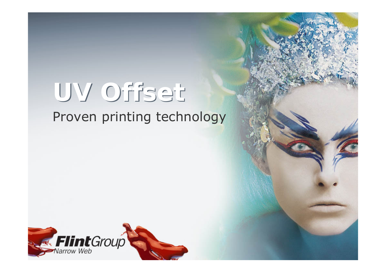# **UV Offset UV Offset**

#### Proven printing technology

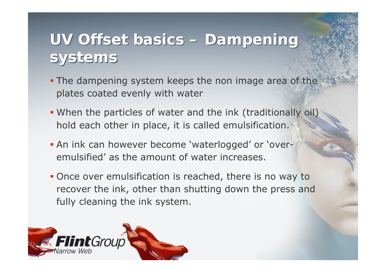# **UV Offset basics – Dampening UV Offset basics – Dampening systems systems**

- **The dampening system keeps the non image area of the** plates coated evenly with water
- When the particles of water and the ink (traditionally oil) hold each other in place, it is called emulsification.
- An ink can however become 'waterlogged' or 'overemulsified' as the amount of water increases.
- **Once over emulsification is reached, there is no way to** recover the ink, other than shutting down the press and fully cleaning the ink system.

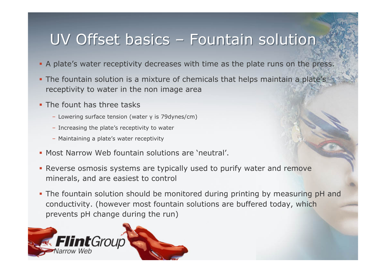# UV Offset basics – Fountain solution

- A plate's water receptivity decreases with time as the plate runs on the press.
- **The fountain solution is a mixture of chemicals that helps maintain a plate's** receptivity to water in the non image area
- **The fount has three tasks** 
	- Lowering surface tension (water γ is 79dynes/cm)
	- Increasing the plate's receptivity to water
	- Maintaining a plate's water receptivity
- **Most Narrow Web fountain solutions are 'neutral'.**
- Reverse osmosis systems are typically used to purify water and remove minerals, and are easiest to control
- The fountain solution should be monitored during printing by measuring pH and conductivity. (however most fountain solutions are buffered today, which prevents pH change during the run)

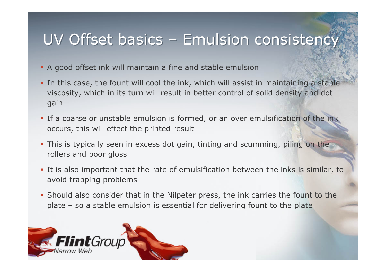# UV Offset basics – Emulsion consistency UV Offset basics – Emulsion consistency

- A good offset ink will maintain a fine and stable emulsion
- **In this case, the fount will cool the ink, which will assist in maintaining a stable** viscosity, which in its turn will result in better control of solid density and dot gain
- **If a coarse or unstable emulsion is formed, or an over emulsification of the ink** occurs, this will effect the printed result
- **This is typically seen in excess dot gain, tinting and scumming, piling on the** rollers and poor gloss
- It is also important that the rate of emulsification between the inks is similar, to avoid trapping problems
- Should also consider that in the Nilpeter press, the ink carries the fount to the plate – so a stable emulsion is essential for delivering fount to the plate

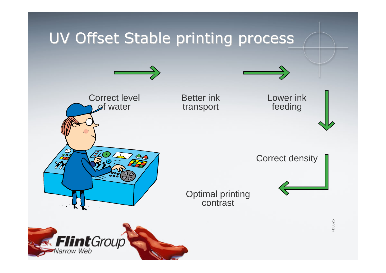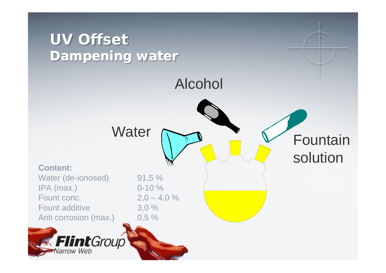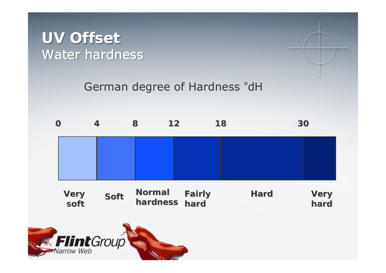### **UV Offset UV Offset** Water hardness

#### German degree of Hardness °dH

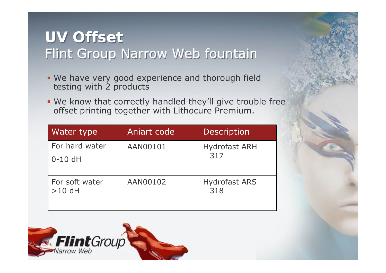# **UV Offset UV Offset** Flint Group Narrow Web fountain and solution

- We have very good experience and thorough field testing with 2 products
- We know that correctly handled they'll give trouble free offset printing together with Lithocure Premium.

| <b>Water type</b> | Aniart code | <b>Description</b>          |
|-------------------|-------------|-----------------------------|
| For hard water    | AAN00101    | <b>Hydrofast ARH</b><br>317 |
| $0-10$ dH         |             |                             |
| For soft water    | AAN00102    | <b>Hydrofast ARS</b>        |
| $>10$ dH          |             | 318                         |
|                   |             |                             |

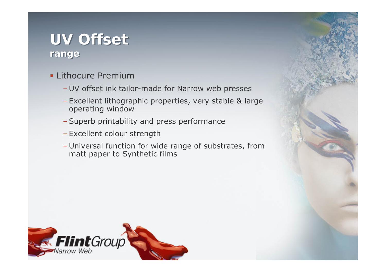#### **UV Offset UV Offset range range**

- **ELithocure Premium** 
	- UV offset ink tailor-made for Narrow web presses
	- Excellent lithographic properties, very stable & large operating window
	- Superb printability and press performance
	- Excellent colour strength
	- Universal function for wide range of substrates, from matt paper to Synthetic films